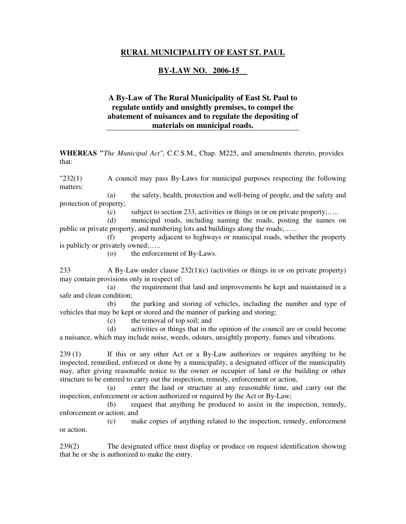### **RURAL MUNICIPALITY OF EAST ST. PAUL**

### **BY-LAW NO. 2006-15**

## **A By-Law of The Rural Municipality of East St. Paul to regulate untidy and unsightly premises, to compel the abatement of nuisances and to regulate the depositing of materials on municipal roads.**

**WHEREAS "***The Municipal Act"*, C.C.S.M., Chap. M225, and amendments thereto, provides that:

"232(1) A council may pass By-Laws for municipal purposes respecting the following matters:

 (a) the safety, health, protection and well-being of people, and the safety and protection of property;

(c) subject to section 233, activities or things in or on private property;…..

 (d) municipal roads, including naming the roads, posting the names on public or private property, and numbering lots and buildings along the roads;…...

 (f) property adjacent to highways or municipal roads, whether the property is publicly or privately owned;…..

(o) the enforcement of By-Laws.

233 A By-Law under clause 232(1)(c) (activities or things in or on private property) may contain provisions only in respect of:

 (a) the requirement that land and improvements be kept and maintained in a safe and clean condition;

 (b) the parking and storing of vehicles, including the number and type of vehicles that may be kept or stored and the manner of parking and storing;

(c) the removal of top soil; and

 (d) activities or things that in the opinion of the council are or could become a nuisance, which may include noise, weeds, odours, unsightly property, fumes and vibrations.

239 (1) If this or any other Act or a By-Law authorizes or requires anything to be inspected, remedied, enforced or done by a municipality, a designated officer of the municipality may, after giving reasonable notice to the owner or occupier of land or the building or other structure to be entered to carry out the inspection, remedy, enforcement or action,

 (a) enter the land or structure at any reasonable time, and carry out the inspection, enforcement or action authorized or required by the Act or By-Law;

 (b) request that anything be produced to assist in the inspection, remedy, enforcement or action; and

 (c) make copies of anything related to the inspection, remedy, enforcement or action.

239(2) The designated office must display or produce on request identification showing that he or she is authorized to make the entry.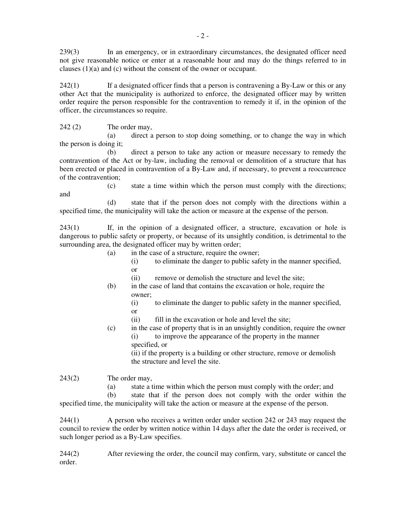239(3) In an emergency, or in extraordinary circumstances, the designated officer need not give reasonable notice or enter at a reasonable hour and may do the things referred to in clauses (1)(a) and (c) without the consent of the owner or occupant.

242(1) If a designated officer finds that a person is contravening a By-Law or this or any other Act that the municipality is authorized to enforce, the designated officer may by written order require the person responsible for the contravention to remedy it if, in the opinion of the officer, the circumstances so require.

242 (2) The order may,

 (a) direct a person to stop doing something, or to change the way in which the person is doing it;

 (b) direct a person to take any action or measure necessary to remedy the contravention of the Act or by-law, including the removal or demolition of a structure that has been erected or placed in contravention of a By-Law and, if necessary, to prevent a reoccurrence of the contravention;

 (c) state a time within which the person must comply with the directions; and

 (d) state that if the person does not comply with the directions within a specified time, the municipality will take the action or measure at the expense of the person.

243(1) If, in the opinion of a designated officer, a structure, excavation or hole is dangerous to public safety or property, or because of its unsightly condition, is detrimental to the surrounding area, the designated officer may by written order;

- (a) in the case of a structure, require the owner;
- (i) to eliminate the danger to public safety in the manner specified, or
	- (ii) remove or demolish the structure and level the site;
	- (b) in the case of land that contains the excavation or hole, require the owner;
- (i) to eliminate the danger to public safety in the manner specified, or
	- (ii) fill in the excavation or hole and level the site;
	- (c) in the case of property that is in an unsightly condition, require the owner (i) to improve the appearance of the property in the manner specified, or

 (ii) if the property is a building or other structure, remove or demolish the structure and level the site.

243(2) The order may,

(a) state a time within which the person must comply with the order; and

 (b) state that if the person does not comply with the order within the specified time, the municipality will take the action or measure at the expense of the person.

244(1) A person who receives a written order under section 242 or 243 may request the council to review the order by written notice within 14 days after the date the order is received, or such longer period as a By-Law specifies.

244(2) After reviewing the order, the council may confirm, vary, substitute or cancel the order.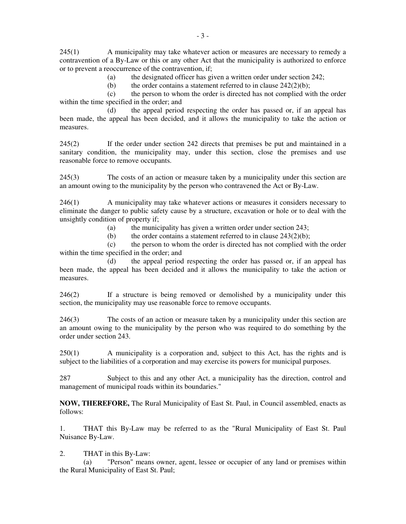245(1) A municipality may take whatever action or measures are necessary to remedy a contravention of a By-Law or this or any other Act that the municipality is authorized to enforce or to prevent a reoccurrence of the contravention, if;

(a) the designated officer has given a written order under section 242;

(b) the order contains a statement referred to in clause  $242(2)(b)$ ;

 (c) the person to whom the order is directed has not complied with the order within the time specified in the order; and

 (d) the appeal period respecting the order has passed or, if an appeal has been made, the appeal has been decided, and it allows the municipality to take the action or measures.

245(2) If the order under section 242 directs that premises be put and maintained in a sanitary condition, the municipality may, under this section, close the premises and use reasonable force to remove occupants.

245(3) The costs of an action or measure taken by a municipality under this section are an amount owing to the municipality by the person who contravened the Act or By-Law.

246(1) A municipality may take whatever actions or measures it considers necessary to eliminate the danger to public safety cause by a structure, excavation or hole or to deal with the unsightly condition of property if;

(a) the municipality has given a written order under section 243;

(b) the order contains a statement referred to in clause  $243(2)(b)$ ;

 (c) the person to whom the order is directed has not complied with the order within the time specified in the order; and

 (d) the appeal period respecting the order has passed or, if an appeal has been made, the appeal has been decided and it allows the municipality to take the action or measures.

246(2) If a structure is being removed or demolished by a municipality under this section, the municipality may use reasonable force to remove occupants.

246(3) The costs of an action or measure taken by a municipality under this section are an amount owing to the municipality by the person who was required to do something by the order under section 243.

250(1) A municipality is a corporation and, subject to this Act, has the rights and is subject to the liabilities of a corporation and may exercise its powers for municipal purposes.

287 Subject to this and any other Act, a municipality has the direction, control and management of municipal roads within its boundaries."

**NOW, THEREFORE,** The Rural Municipality of East St. Paul, in Council assembled, enacts as follows:

1. THAT this By-Law may be referred to as the "Rural Municipality of East St. Paul Nuisance By-Law.

2. THAT in this By-Law:

 (a) "Person" means owner, agent, lessee or occupier of any land or premises within the Rural Municipality of East St. Paul;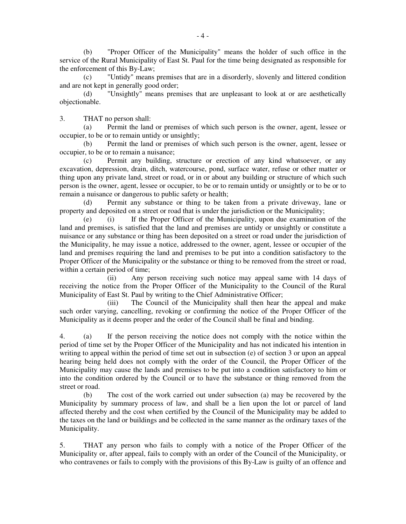(b) "Proper Officer of the Municipality" means the holder of such office in the service of the Rural Municipality of East St. Paul for the time being designated as responsible for the enforcement of this By-Law;

 (c) "Untidy" means premises that are in a disorderly, slovenly and littered condition and are not kept in generally good order;

 (d) "Unsightly" means premises that are unpleasant to look at or are aesthetically objectionable.

3. THAT no person shall:

 (a) Permit the land or premises of which such person is the owner, agent, lessee or occupier, to be or to remain untidy or unsightly;

 (b) Permit the land or premises of which such person is the owner, agent, lessee or occupier, to be or to remain a nuisance;

 (c) Permit any building, structure or erection of any kind whatsoever, or any excavation, depression, drain, ditch, watercourse, pond, surface water, refuse or other matter or thing upon any private land, street or road, or in or about any building or structure of which such person is the owner, agent, lessee or occupier, to be or to remain untidy or unsightly or to be or to remain a nuisance or dangerous to public safety or health;

 (d) Permit any substance or thing to be taken from a private driveway, lane or property and deposited on a street or road that is under the jurisdiction or the Municipality;

 (e) (i) If the Proper Officer of the Municipality, upon due examination of the land and premises, is satisfied that the land and premises are untidy or unsightly or constitute a nuisance or any substance or thing has been deposited on a street or road under the jurisdiction of the Municipality, he may issue a notice, addressed to the owner, agent, lessee or occupier of the land and premises requiring the land and premises to be put into a condition satisfactory to the Proper Officer of the Municipality or the substance or thing to be removed from the street or road, within a certain period of time;

 (ii) Any person receiving such notice may appeal same with 14 days of receiving the notice from the Proper Officer of the Municipality to the Council of the Rural Municipality of East St. Paul by writing to the Chief Administrative Officer;

 (iii) The Council of the Municipality shall then hear the appeal and make such order varying, cancelling, revoking or confirming the notice of the Proper Officer of the Municipality as it deems proper and the order of the Council shall be final and binding.

4. (a) If the person receiving the notice does not comply with the notice within the period of time set by the Proper Officer of the Municipality and has not indicated his intention in writing to appeal within the period of time set out in subsection (e) of section 3 or upon an appeal hearing being held does not comply with the order of the Council, the Proper Officer of the Municipality may cause the lands and premises to be put into a condition satisfactory to him or into the condition ordered by the Council or to have the substance or thing removed from the street or road.

 (b) The cost of the work carried out under subsection (a) may be recovered by the Municipality by summary process of law, and shall be a lien upon the lot or parcel of land affected thereby and the cost when certified by the Council of the Municipality may be added to the taxes on the land or buildings and be collected in the same manner as the ordinary taxes of the Municipality.

5. THAT any person who fails to comply with a notice of the Proper Officer of the Municipality or, after appeal, fails to comply with an order of the Council of the Municipality, or who contravenes or fails to comply with the provisions of this By-Law is guilty of an offence and